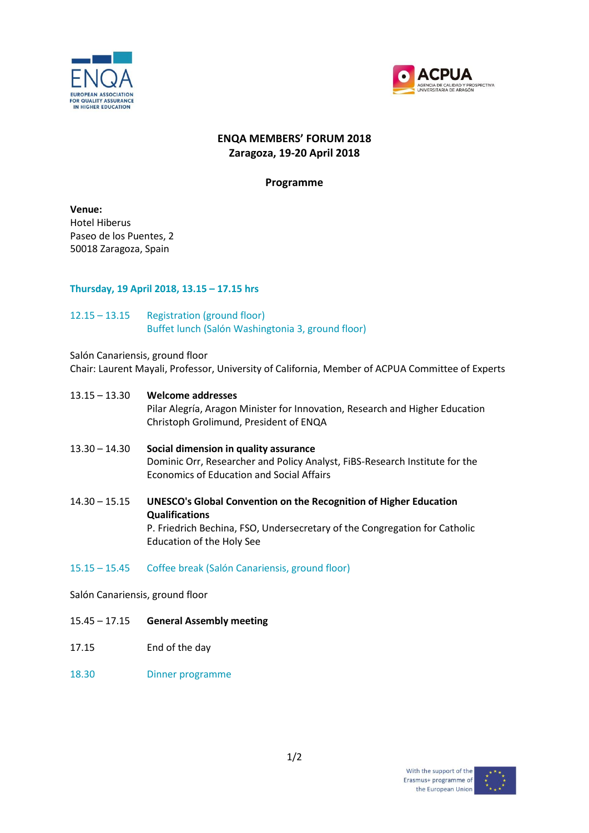



# **ENQA MEMBERS' FORUM 2018 Zaragoza, 19-20 April 2018**

### **Programme**

**Venue:** Hotel Hiberus Paseo de los Puentes, 2 50018 Zaragoza, Spain

### **Thursday, 19 April 2018, 13.15 – 17.15 hrs**

### 12.15 – 13.15 Registration (ground floor) Buffet lunch (Salón Washingtonia 3, ground floor)

#### Salón Canariensis, ground floor

Chair: Laurent Mayali, Professor, University of California, Member of ACPUA Committee of Experts

- 13.15 13.30 **Welcome addresses** Pilar Alegría, Aragon Minister for Innovation, Research and Higher Education Christoph Grolimund, President of ENQA
- 13.30 14.30 **Social dimension in quality assurance** Dominic Orr, Researcher and Policy Analyst, FiBS-Research Institute for the Economics of Education and Social Affairs
- 14.30 15.15 **UNESCO's Global Convention on the Recognition of Higher Education Qualifications** P. Friedrich Bechina, FSO, Undersecretary of the Congregation for Catholic Education of the Holy See
- 15.15 15.45 Coffee break (Salón Canariensis, ground floor)

Salón Canariensis, ground floor

- 15.45 17.15 **General Assembly meeting**
- 17.15 End of the day
- 18.30 Dinner programme